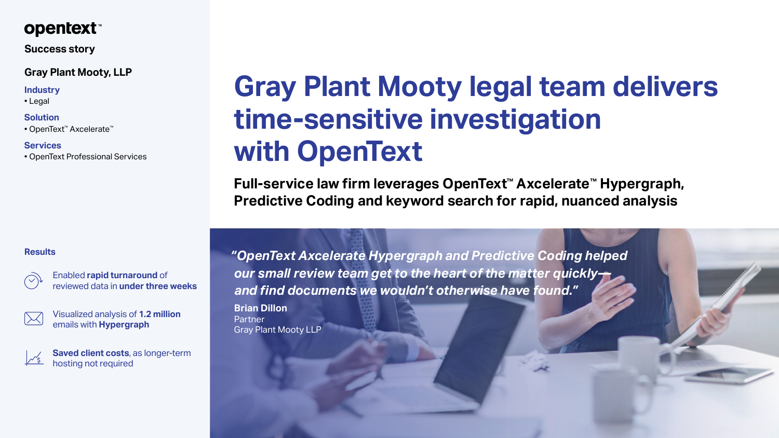*"OpenText Axcelerate Hypergraph and Predictive Coding helped our small review team get to the heart of the matter quickly and find documents we wouldn't otherwise have found."* 

**Brian Dillon**  Partner Gray Plant Mooty LLP



# **Gray Plant Mooty legal team delivers time-sensitive investigation with OpenText**

**Full-service law firm leverages OpenText™ Axcelerate™ Hypergraph, Predictive Coding and keyword search for rapid, nuanced analysis**

## **opentext™**

#### **Success story**

Enabled **rapid turnaround** of reviewed data in **under three weeks**

Visualized analysis of **1.2 million** emails with **Hypergraph**

**Saved client costs**, as longer-term hosting not required

#### **Results**

## **Gray Plant Mooty, LLP**

#### **Industry**

• Legal

**Solution** • OpenText™ Axcelerate™

**Services** • OpenText Professional Services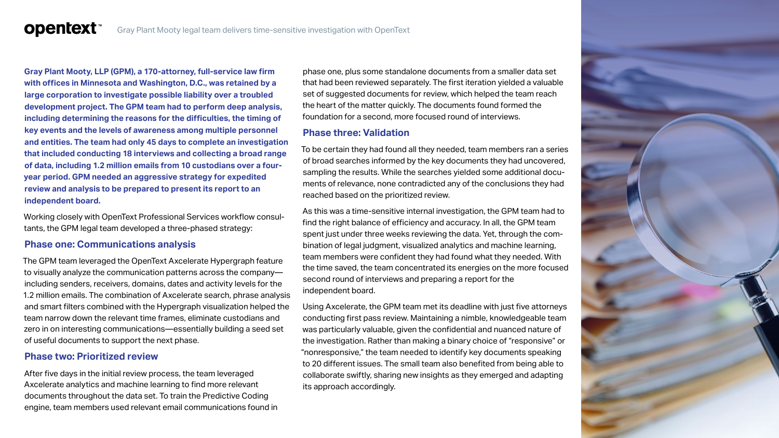**Gray Plant Mooty, LLP (GPM), a 170-attorney, full-service law firm with offices in Minnesota and Washington, D.C., was retained by a large corporation to investigate possible liability over a troubled development project. The GPM team had to perform deep analysis, including determining the reasons for the difficulties, the timing of key events and the levels of awareness among multiple personnel and entities. The team had only 45 days to complete an investigation that included conducting 18 interviews and collecting a broad range of data, including 1.2 million emails from 10 custodians over a fouryear period. GPM needed an aggressive strategy for expedited review and analysis to be prepared to present its report to an independent board.**

Working closely with OpenText Professional Services workflow consultants, the GPM legal team developed a three-phased strategy:

#### **Phase one: Communications analysis**

**opentext™** 

The GPM team leveraged the OpenText Axcelerate Hypergraph feature to visually analyze the communication patterns across the company including senders, receivers, domains, dates and activity levels for the 1.2 million emails. The combination of Axcelerate search, phrase analysis and smart filters combined with the Hypergraph visualization helped the team narrow down the relevant time frames, eliminate custodians and zero in on interesting communications—essentially building a seed set of useful documents to support the next phase.

#### **Phase two: Prioritized review**

After five days in the initial review process, the team leveraged Axcelerate analytics and machine learning to find more relevant documents throughout the data set. To train the Predictive Coding engine, team members used relevant email communications found in

phase one, plus some standalone documents from a smaller data set that had been reviewed separately. The first iteration yielded a valuable set of suggested documents for review, which helped the team reach the heart of the matter quickly. The documents found formed the foundation for a second, more focused round of interviews.

#### **Phase three: Validation**

To be certain they had found all they needed, team members ran a series of broad searches informed by the key documents they had uncovered, sampling the results. While the searches yielded some additional documents of relevance, none contradicted any of the conclusions they had reached based on the prioritized review.

As this was a time-sensitive internal investigation, the GPM team had to find the right balance of efficiency and accuracy. In all, the GPM team spent just under three weeks reviewing the data. Yet, through the combination of legal judgment, visualized analytics and machine learning, team members were confident they had found what they needed. With the time saved, the team concentrated its energies on the more focused second round of interviews and preparing a report for the independent board.

Using Axcelerate, the GPM team met its deadline with just five attorneys conducting first pass review. Maintaining a nimble, knowledgeable team was particularly valuable, given the confidential and nuanced nature of the investigation. Rather than making a binary choice of "responsive" or "nonresponsive," the team needed to identify key documents speaking to 20 different issues. The small team also benefited from being able to collaborate swiftly, sharing new insights as they emerged and adapting its approach accordingly.